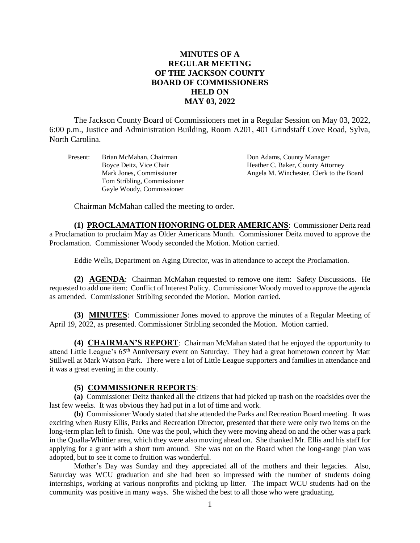## **MINUTES OF A REGULAR MEETING OF THE JACKSON COUNTY BOARD OF COMMISSIONERS HELD ON MAY 03, 2022**

The Jackson County Board of Commissioners met in a Regular Session on May 03, 2022, 6:00 p.m., Justice and Administration Building, Room A201, 401 Grindstaff Cove Road, Sylva, North Carolina.

Present: Brian McMahan, Chairman Don Adams, County Manager Tom Stribling, Commissioner Gayle Woody, Commissioner

Boyce Deitz, Vice Chair **Heather C. Baker, County Attorney** Mark Jones, Commissioner Angela M. Winchester, Clerk to the Board

Chairman McMahan called the meeting to order.

**(1) PROCLAMATION HONORING OLDER AMERICANS**: Commissioner Deitz read a Proclamation to proclaim May as Older Americans Month. Commissioner Deitz moved to approve the Proclamation. Commissioner Woody seconded the Motion. Motion carried.

Eddie Wells, Department on Aging Director, was in attendance to accept the Proclamation.

**(2) AGENDA**: Chairman McMahan requested to remove one item: Safety Discussions. He requested to add one item: Conflict of Interest Policy. Commissioner Woody moved to approve the agenda as amended. Commissioner Stribling seconded the Motion. Motion carried.

**(3) MINUTES**: Commissioner Jones moved to approve the minutes of a Regular Meeting of April 19, 2022, as presented. Commissioner Stribling seconded the Motion. Motion carried.

**(4) CHAIRMAN'S REPORT**: Chairman McMahan stated that he enjoyed the opportunity to attend Little League's 65<sup>th</sup> Anniversary event on Saturday. They had a great hometown concert by Matt Stillwell at Mark Watson Park. There were a lot of Little League supporters and families in attendance and it was a great evening in the county.

#### **(5) COMMISSIONER REPORTS**:

**(a)** Commissioner Deitz thanked all the citizens that had picked up trash on the roadsides over the last few weeks. It was obvious they had put in a lot of time and work.

**(b)** Commissioner Woody stated that she attended the Parks and Recreation Board meeting. It was exciting when Rusty Ellis, Parks and Recreation Director, presented that there were only two items on the long-term plan left to finish. One was the pool, which they were moving ahead on and the other was a park in the Qualla-Whittier area, which they were also moving ahead on. She thanked Mr. Ellis and his staff for applying for a grant with a short turn around. She was not on the Board when the long-range plan was adopted, but to see it come to fruition was wonderful.

Mother's Day was Sunday and they appreciated all of the mothers and their legacies. Also, Saturday was WCU graduation and she had been so impressed with the number of students doing internships, working at various nonprofits and picking up litter. The impact WCU students had on the community was positive in many ways. She wished the best to all those who were graduating.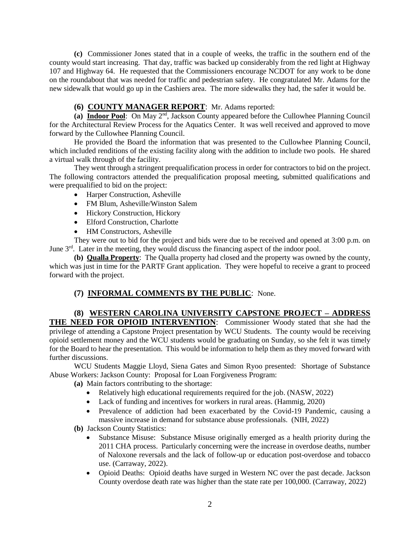**(c)** Commissioner Jones stated that in a couple of weeks, the traffic in the southern end of the county would start increasing. That day, traffic was backed up considerably from the red light at Highway 107 and Highway 64. He requested that the Commissioners encourage NCDOT for any work to be done on the roundabout that was needed for traffic and pedestrian safety. He congratulated Mr. Adams for the new sidewalk that would go up in the Cashiers area. The more sidewalks they had, the safer it would be.

## **(6) COUNTY MANAGER REPORT**: Mr. Adams reported:

(a) **Indoor Pool**: On May 2<sup>nd</sup>, Jackson County appeared before the Cullowhee Planning Council for the Architectural Review Process for the Aquatics Center. It was well received and approved to move forward by the Cullowhee Planning Council.

He provided the Board the information that was presented to the Cullowhee Planning Council, which included renditions of the existing facility along with the addition to include two pools. He shared a virtual walk through of the facility.

They went through a stringent prequalification process in order for contractors to bid on the project. The following contractors attended the prequalification proposal meeting, submitted qualifications and were prequalified to bid on the project:

- Harper Construction, Asheville
- FM Blum, Asheville/Winston Salem
- Hickory Construction, Hickory
- Elford Construction, Charlotte
- HM Constructors, Asheville

They were out to bid for the project and bids were due to be received and opened at 3:00 p.m. on June  $3<sup>rd</sup>$ . Later in the meeting, they would discuss the financing aspect of the indoor pool.

**(b) Qualla Property**: The Qualla property had closed and the property was owned by the county, which was just in time for the PARTF Grant application. They were hopeful to receive a grant to proceed forward with the project.

# **(7) INFORMAL COMMENTS BY THE PUBLIC**: None.

### **(8) WESTERN CAROLINA UNIVERSITY CAPSTONE PROJECT – ADDRESS THE NEED FOR OPIOID INTERVENTION**: Commissioner Woody stated that she had the privilege of attending a Capstone Project presentation by WCU Students. The county would be receiving opioid settlement money and the WCU students would be graduating on Sunday, so she felt it was timely for the Board to hear the presentation. This would be information to help them as they moved forward with further discussions.

WCU Students Maggie Lloyd, Siena Gates and Simon Ryoo presented: Shortage of Substance Abuse Workers: Jackson County: Proposal for Loan Forgiveness Program:

**(a)** Main factors contributing to the shortage:

- Relatively high educational requirements required for the job. (NASW, 2022)
- Lack of funding and incentives for workers in rural areas. (Hammig, 2020)
- Prevalence of addiction had been exacerbated by the Covid-19 Pandemic, causing a massive increase in demand for substance abuse professionals. (NIH, 2022)

**(b)** Jackson County Statistics:

- Substance Misuse: Substance Misuse originally emerged as a health priority during the 2011 CHA process. Particularly concerning were the increase in overdose deaths, number of Naloxone reversals and the lack of follow-up or education post-overdose and tobacco use. (Carraway, 2022).
- Opioid Deaths: Opioid deaths have surged in Western NC over the past decade. Jackson County overdose death rate was higher than the state rate per 100,000. (Carraway, 2022)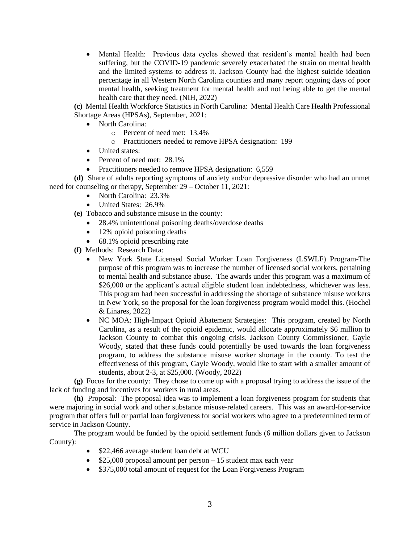Mental Health: Previous data cycles showed that resident's mental health had been suffering, but the COVID-19 pandemic severely exacerbated the strain on mental health and the limited systems to address it. Jackson County had the highest suicide ideation percentage in all Western North Carolina counties and many report ongoing days of poor mental health, seeking treatment for mental health and not being able to get the mental health care that they need. (NIH, 2022)

**(c)** Mental Health Workforce Statistics in North Carolina: Mental Health Care Health Professional Shortage Areas (HPSAs), September, 2021:

- North Carolina:
	- o Percent of need met: 13.4%
	- o Practitioners needed to remove HPSA designation: 199
- United states:
- Percent of need met: 28.1%
- Practitioners needed to remove HPSA designation: 6,559

**(d)** Share of adults reporting symptoms of anxiety and/or depressive disorder who had an unmet need for counseling or therapy, September 29 – October 11, 2021:

- North Carolina: 23.3%
- United States: 26.9%
- **(e)** Tobacco and substance misuse in the county:
	- 28.4% unintentional poisoning deaths/overdose deaths
	- 12% opioid poisoning deaths
	- 68.1% opioid prescribing rate

**(f)** Methods: Research Data:

- New York State Licensed Social Worker Loan Forgiveness (LSWLF) Program-The purpose of this program was to increase the number of licensed social workers, pertaining to mental health and substance abuse. The awards under this program was a maximum of \$26,000 or the applicant's actual eligible student loan indebtedness, whichever was less. This program had been successful in addressing the shortage of substance misuse workers in New York, so the proposal for the loan forgiveness program would model this. (Hochel & Linares, 2022)
- NC MOA: High-Impact Opioid Abatement Strategies: This program, created by North Carolina, as a result of the opioid epidemic, would allocate approximately \$6 million to Jackson County to combat this ongoing crisis. Jackson County Commissioner, Gayle Woody, stated that these funds could potentially be used towards the loan forgiveness program, to address the substance misuse worker shortage in the county. To test the effectiveness of this program, Gayle Woody, would like to start with a smaller amount of students, about 2-3, at \$25,000. (Woody, 2022)

**(g)** Focus for the county: They chose to come up with a proposal trying to address the issue of the lack of funding and incentives for workers in rural areas.

**(h)** Proposal: The proposal idea was to implement a loan forgiveness program for students that were majoring in social work and other substance misuse-related careers. This was an award-for-service program that offers full or partial loan forgiveness for social workers who agree to a predetermined term of service in Jackson County.

The program would be funded by the opioid settlement funds (6 million dollars given to Jackson County):

- \$22,466 average student loan debt at WCU
- $\bullet$  \$25,000 proposal amount per person 15 student max each year
- \$375,000 total amount of request for the Loan Forgiveness Program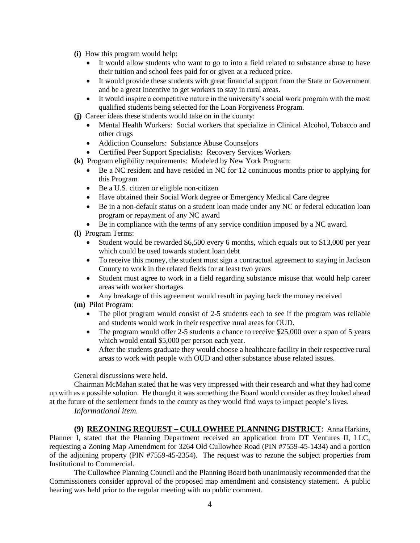- **(i)** How this program would help:
	- It would allow students who want to go to into a field related to substance abuse to have their tuition and school fees paid for or given at a reduced price.
	- It would provide these students with great financial support from the State or Government and be a great incentive to get workers to stay in rural areas.
	- It would inspire a competitive nature in the university's social work program with the most qualified students being selected for the Loan Forgiveness Program.
- **(j)** Career ideas these students would take on in the county:
	- Mental Health Workers: Social workers that specialize in Clinical Alcohol, Tobacco and other drugs
	- Addiction Counselors: Substance Abuse Counselors
	- Certified Peer Support Specialists: Recovery Services Workers
- **(k)** Program eligibility requirements: Modeled by New York Program:
	- Be a NC resident and have resided in NC for 12 continuous months prior to applying for this Program
	- Be a U.S. citizen or eligible non-citizen
	- Have obtained their Social Work degree or Emergency Medical Care degree
	- Be in a non-default status on a student loan made under any NC or federal education loan program or repayment of any NC award
	- Be in compliance with the terms of any service condition imposed by a NC award.
- **(l)** Program Terms:
	- Student would be rewarded \$6,500 every 6 months, which equals out to \$13,000 per year which could be used towards student loan debt
	- To receive this money, the student must sign a contractual agreement to staying in Jackson County to work in the related fields for at least two years
	- Student must agree to work in a field regarding substance misuse that would help career areas with worker shortages
	- Any breakage of this agreement would result in paying back the money received
- **(m)** Pilot Program:
	- The pilot program would consist of 2-5 students each to see if the program was reliable and students would work in their respective rural areas for OUD.
	- The program would offer 2-5 students a chance to receive \$25,000 over a span of 5 years which would entail \$5,000 per person each year.
	- After the students graduate they would choose a healthcare facility in their respective rural areas to work with people with OUD and other substance abuse related issues.

General discussions were held.

Chairman McMahan stated that he was very impressed with their research and what they had come up with as a possible solution. He thought it was something the Board would consider as they looked ahead at the future of the settlement funds to the county as they would find ways to impact people's lives. *Informational item.*

#### **(9) REZONING REQUEST – CULLOWHEE PLANNING DISTRICT**: Anna Harkins, Planner I, stated that the Planning Department received an application from DT Ventures II, LLC, requesting a Zoning Map Amendment for 3264 Old Cullowhee Road (PIN #7559-45-1434) and a portion of the adjoining property (PIN #7559-45-2354). The request was to rezone the subject properties from Institutional to Commercial.

The Cullowhee Planning Council and the Planning Board both unanimously recommended that the Commissioners consider approval of the proposed map amendment and consistency statement. A public hearing was held prior to the regular meeting with no public comment.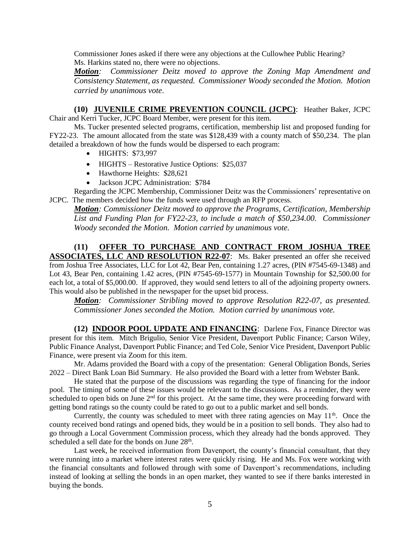Commissioner Jones asked if there were any objections at the Cullowhee Public Hearing? Ms. Harkins stated no, there were no objections.

*Motion: Commissioner Deitz moved to approve the Zoning Map Amendment and Consistency Statement, as requested. Commissioner Woody seconded the Motion. Motion carried by unanimous vote*.

**(10) JUVENILE CRIME PREVENTION COUNCIL (JCPC)**: Heather Baker, JCPC Chair and Kerri Tucker, JCPC Board Member, were present for this item.

Ms. Tucker presented selected programs, certification, membership list and proposed funding for FY22-23. The amount allocated from the state was \$128,439 with a county match of \$50,234. The plan detailed a breakdown of how the funds would be dispersed to each program:

- HIGHTS: \$73,997
- HIGHTS Restorative Justice Options: \$25,037
- Hawthorne Heights: \$28,621
- Jackson JCPC Administration: \$784

Regarding the JCPC Membership, Commissioner Deitz was the Commissioners' representative on JCPC. The members decided how the funds were used through an RFP process.

*Motion: Commissioner Deitz moved to approve the Programs, Certification, Membership List and Funding Plan for FY22-23, to include a match of \$50,234.00. Commissioner Woody seconded the Motion. Motion carried by unanimous vote.*

**(11) OFFER TO PURCHASE AND CONTRACT FROM JOSHUA TREE ASSOCIATES, LLC AND RESOLUTION R22-07:** Ms. Baker presented an offer she received from Joshua Tree Associates, LLC for Lot 42, Bear Pen, containing 1.27 acres, (PIN #7545-69-1348) and Lot 43, Bear Pen, containing 1.42 acres, (PIN #7545-69-1577) in Mountain Township for \$2,500.00 for each lot, a total of \$5,000.00. If approved, they would send letters to all of the adjoining property owners. This would also be published in the newspaper for the upset bid process.

*Motion: Commissioner Stribling moved to approve Resolution R22-07, as presented. Commissioner Jones seconded the Motion. Motion carried by unanimous vote.* 

**(12) INDOOR POOL UPDATE AND FINANCING**: Darlene Fox, Finance Director was present for this item. Mitch Brigulio, Senior Vice President, Davenport Public Finance; Carson Wiley, Public Finance Analyst, Davenport Public Finance; and Ted Cole, Senior Vice President, Davenport Public Finance, were present via Zoom for this item.

Mr. Adams provided the Board with a copy of the presentation: General Obligation Bonds, Series 2022 – Direct Bank Loan Bid Summary. He also provided the Board with a letter from Webster Bank.

He stated that the purpose of the discussions was regarding the type of financing for the indoor pool. The timing of some of these issues would be relevant to the discussions. As a reminder, they were scheduled to open bids on June 2<sup>nd</sup> for this project. At the same time, they were proceeding forward with getting bond ratings so the county could be rated to go out to a public market and sell bonds.

Currently, the county was scheduled to meet with three rating agencies on May  $11<sup>th</sup>$ . Once the county received bond ratings and opened bids, they would be in a position to sell bonds. They also had to go through a Local Government Commission process, which they already had the bonds approved. They scheduled a sell date for the bonds on June 28<sup>th</sup>.

Last week, he received information from Davenport, the county's financial consultant, that they were running into a market where interest rates were quickly rising. He and Ms. Fox were working with the financial consultants and followed through with some of Davenport's recommendations, including instead of looking at selling the bonds in an open market, they wanted to see if there banks interested in buying the bonds.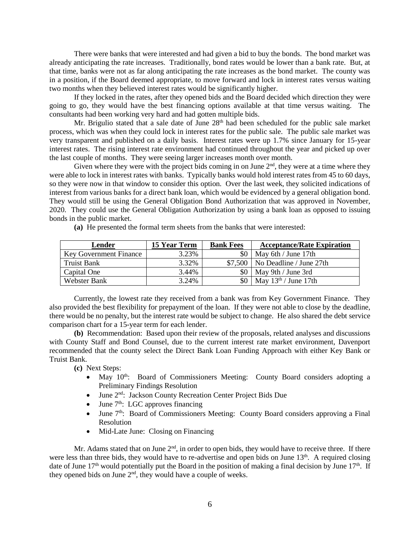There were banks that were interested and had given a bid to buy the bonds. The bond market was already anticipating the rate increases. Traditionally, bond rates would be lower than a bank rate. But, at that time, banks were not as far along anticipating the rate increases as the bond market. The county was in a position, if the Board deemed appropriate, to move forward and lock in interest rates versus waiting two months when they believed interest rates would be significantly higher.

If they locked in the rates, after they opened bids and the Board decided which direction they were going to go, they would have the best financing options available at that time versus waiting. The consultants had been working very hard and had gotten multiple bids.

Mr. Brigulio stated that a sale date of June 28<sup>th</sup> had been scheduled for the public sale market process, which was when they could lock in interest rates for the public sale. The public sale market was very transparent and published on a daily basis. Interest rates were up 1.7% since January for 15-year interest rates. The rising interest rate environment had continued throughout the year and picked up over the last couple of months. They were seeing larger increases month over month.

Given where they were with the project bids coming in on June  $2<sup>nd</sup>$ , they were at a time where they were able to lock in interest rates with banks. Typically banks would hold interest rates from 45 to 60 days, so they were now in that window to consider this option. Over the last week, they solicited indications of interest from various banks for a direct bank loan, which would be evidenced by a general obligation bond. They would still be using the General Obligation Bond Authorization that was approved in November, 2020. They could use the General Obligation Authorization by using a bank loan as opposed to issuing bonds in the public market.

**(a)** He presented the formal term sheets from the banks that were interested:

| Lender                        | <b>15 Year Term</b> | <b>Bank Fees</b> | <b>Acceptance/Rate Expiration</b>  |
|-------------------------------|---------------------|------------------|------------------------------------|
| <b>Key Government Finance</b> | 3.23%               | \$0              | May 6th / June 17th                |
| Truist Bank                   | 3.32%               |                  | $$7,500$   No Deadline / June 27th |
| Capital One                   | 3.44%               | \$0              | May 9th / June 3rd                 |
| Webster Bank                  | 3.24%               | \$0              | May $13th$ / June 17th             |

Currently, the lowest rate they received from a bank was from Key Government Finance. They also provided the best flexibility for prepayment of the loan. If they were not able to close by the deadline, there would be no penalty, but the interest rate would be subject to change. He also shared the debt service comparison chart for a 15-year term for each lender.

**(b)** Recommendation: Based upon their review of the proposals, related analyses and discussions with County Staff and Bond Counsel, due to the current interest rate market environment, Davenport recommended that the county select the Direct Bank Loan Funding Approach with either Key Bank or Truist Bank.

**(c)** Next Steps:

- May 10<sup>th</sup>: Board of Commissioners Meeting: County Board considers adopting a Preliminary Findings Resolution
- June 2<sup>nd</sup>: Jackson County Recreation Center Project Bids Due
- $\bullet$  June 7<sup>th</sup>: LGC approves financing
- $\bullet$  June  $7<sup>th</sup>$ : Board of Commissioners Meeting: County Board considers approving a Final Resolution
- Mid-Late June: Closing on Financing

Mr. Adams stated that on June  $2<sup>nd</sup>$ , in order to open bids, they would have to receive three. If there were less than three bids, they would have to re-advertise and open bids on June 13<sup>th</sup>. A required closing date of June  $17<sup>th</sup>$  would potentially put the Board in the position of making a final decision by June  $17<sup>th</sup>$ . If they opened bids on June  $2<sup>nd</sup>$ , they would have a couple of weeks.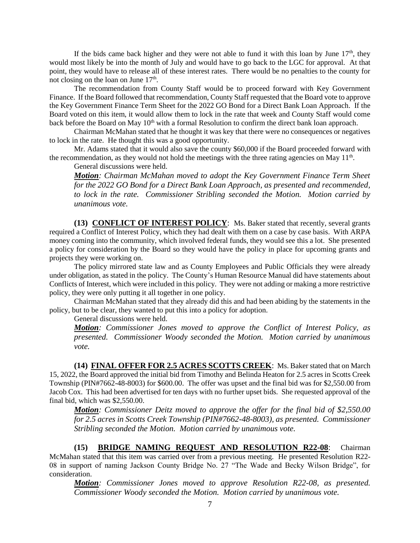If the bids came back higher and they were not able to fund it with this loan by June  $17<sup>th</sup>$ , they would most likely be into the month of July and would have to go back to the LGC for approval. At that point, they would have to release all of these interest rates. There would be no penalties to the county for not closing on the loan on June  $17<sup>th</sup>$ .

The recommendation from County Staff would be to proceed forward with Key Government Finance. If the Board followed that recommendation, County Staff requested that the Board vote to approve the Key Government Finance Term Sheet for the 2022 GO Bond for a Direct Bank Loan Approach. If the Board voted on this item, it would allow them to lock in the rate that week and County Staff would come back before the Board on May 10<sup>th</sup> with a formal Resolution to confirm the direct bank loan approach.

Chairman McMahan stated that he thought it was key that there were no consequences or negatives to lock in the rate. He thought this was a good opportunity.

Mr. Adams stated that it would also save the county \$60,000 if the Board proceeded forward with the recommendation, as they would not hold the meetings with the three rating agencies on May  $11<sup>th</sup>$ .

General discussions were held.

*Motion: Chairman McMahan moved to adopt the Key Government Finance Term Sheet for the 2022 GO Bond for a Direct Bank Loan Approach, as presented and recommended, to lock in the rate. Commissioner Stribling seconded the Motion. Motion carried by unanimous vote.*

**(13) CONFLICT OF INTEREST POLICY**:Ms. Baker stated that recently, several grants required a Conflict of Interest Policy, which they had dealt with them on a case by case basis. With ARPA money coming into the community, which involved federal funds, they would see this a lot. She presented a policy for consideration by the Board so they would have the policy in place for upcoming grants and projects they were working on.

The policy mirrored state law and as County Employees and Public Officials they were already under obligation, as stated in the policy. The County's Human Resource Manual did have statements about Conflicts of Interest, which were included in this policy. They were not adding or making a more restrictive policy, they were only putting it all together in one policy.

Chairman McMahan stated that they already did this and had been abiding by the statements in the policy, but to be clear, they wanted to put this into a policy for adoption.

General discussions were held.

*Motion: Commissioner Jones moved to approve the Conflict of Interest Policy, as presented. Commissioner Woody seconded the Motion. Motion carried by unanimous vote.*

**(14) FINAL OFFER FOR 2.5 ACRES SCOTTS CREEK**:Ms. Baker stated that on March 15, 2022, the Board approved the initial bid from Timothy and Belinda Heaton for 2.5 acres in Scotts Creek Township (PIN#7662-48-8003) for \$600.00. The offer was upset and the final bid was for \$2,550.00 from Jacob Cox. This had been advertised for ten days with no further upset bids. She requested approval of the final bid, which was \$2,550.00.

*Motion: Commissioner Deitz moved to approve the offer for the final bid of \$2,550.00 for 2.5 acres in Scotts Creek Township (PIN#7662-48-8003), as presented. Commissioner Stribling seconded the Motion. Motion carried by unanimous vote.*

**(15) BRIDGE NAMING REQUEST AND RESOLUTION R22-08**: Chairman McMahan stated that this item was carried over from a previous meeting. He presented Resolution R22- 08 in support of naming Jackson County Bridge No. 27 "The Wade and Becky Wilson Bridge", for consideration.

*Motion: Commissioner Jones moved to approve Resolution R22-08, as presented. Commissioner Woody seconded the Motion. Motion carried by unanimous vote.*